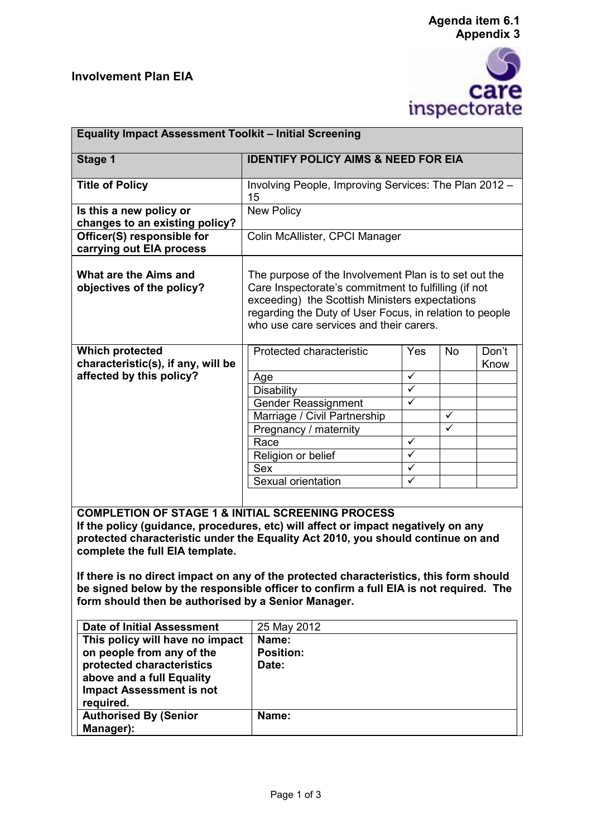## **Involvement Plan EIA**





| <b>Equality Impact Assessment Toolkit - Initial Screening</b>                                                                                                                                                                                                                                                                                                                                                                                               |                                                                                                                                                                                                                                                                       |                         |           |       |  |
|-------------------------------------------------------------------------------------------------------------------------------------------------------------------------------------------------------------------------------------------------------------------------------------------------------------------------------------------------------------------------------------------------------------------------------------------------------------|-----------------------------------------------------------------------------------------------------------------------------------------------------------------------------------------------------------------------------------------------------------------------|-------------------------|-----------|-------|--|
|                                                                                                                                                                                                                                                                                                                                                                                                                                                             |                                                                                                                                                                                                                                                                       |                         |           |       |  |
| Stage 1                                                                                                                                                                                                                                                                                                                                                                                                                                                     | <b>IDENTIFY POLICY AIMS &amp; NEED FOR EIA</b>                                                                                                                                                                                                                        |                         |           |       |  |
| <b>Title of Policy</b>                                                                                                                                                                                                                                                                                                                                                                                                                                      | Involving People, Improving Services: The Plan 2012 -<br>15                                                                                                                                                                                                           |                         |           |       |  |
| Is this a new policy or                                                                                                                                                                                                                                                                                                                                                                                                                                     | <b>New Policy</b>                                                                                                                                                                                                                                                     |                         |           |       |  |
| changes to an existing policy?                                                                                                                                                                                                                                                                                                                                                                                                                              |                                                                                                                                                                                                                                                                       |                         |           |       |  |
| Officer(S) responsible for                                                                                                                                                                                                                                                                                                                                                                                                                                  | Colin McAllister, CPCI Manager                                                                                                                                                                                                                                        |                         |           |       |  |
| carrying out EIA process                                                                                                                                                                                                                                                                                                                                                                                                                                    |                                                                                                                                                                                                                                                                       |                         |           |       |  |
| What are the Aims and<br>objectives of the policy?                                                                                                                                                                                                                                                                                                                                                                                                          | The purpose of the Involvement Plan is to set out the<br>Care Inspectorate's commitment to fulfilling (if not<br>exceeding) the Scottish Ministers expectations<br>regarding the Duty of User Focus, in relation to people<br>who use care services and their carers. |                         |           |       |  |
| <b>Which protected</b>                                                                                                                                                                                                                                                                                                                                                                                                                                      | Protected characteristic                                                                                                                                                                                                                                              | Yes                     | <b>No</b> | Don't |  |
| characteristic(s), if any, will be<br>affected by this policy?                                                                                                                                                                                                                                                                                                                                                                                              |                                                                                                                                                                                                                                                                       | ✓                       |           | Know  |  |
|                                                                                                                                                                                                                                                                                                                                                                                                                                                             | Age<br>Disability                                                                                                                                                                                                                                                     | $\checkmark$            |           |       |  |
|                                                                                                                                                                                                                                                                                                                                                                                                                                                             |                                                                                                                                                                                                                                                                       | $\overline{\checkmark}$ |           |       |  |
|                                                                                                                                                                                                                                                                                                                                                                                                                                                             | Gender Reassignment<br>Marriage / Civil Partnership                                                                                                                                                                                                                   |                         | ✓         |       |  |
|                                                                                                                                                                                                                                                                                                                                                                                                                                                             | Pregnancy / maternity                                                                                                                                                                                                                                                 |                         | ✓         |       |  |
|                                                                                                                                                                                                                                                                                                                                                                                                                                                             | Race                                                                                                                                                                                                                                                                  | ✓                       |           |       |  |
|                                                                                                                                                                                                                                                                                                                                                                                                                                                             | Religion or belief                                                                                                                                                                                                                                                    | ✓                       |           |       |  |
|                                                                                                                                                                                                                                                                                                                                                                                                                                                             | <b>Sex</b>                                                                                                                                                                                                                                                            | $\checkmark$            |           |       |  |
|                                                                                                                                                                                                                                                                                                                                                                                                                                                             | Sexual orientation                                                                                                                                                                                                                                                    | ✓                       |           |       |  |
|                                                                                                                                                                                                                                                                                                                                                                                                                                                             |                                                                                                                                                                                                                                                                       |                         |           |       |  |
| <b>COMPLETION OF STAGE 1 &amp; INITIAL SCREENING PROCESS</b><br>If the policy (guidance, procedures, etc) will affect or impact negatively on any<br>protected characteristic under the Equality Act 2010, you should continue on and<br>complete the full EIA template.<br>If there is no direct impact on any of the protected characteristics, this form should<br>be signed below by the responsible officer to confirm a full EIA is not required. The |                                                                                                                                                                                                                                                                       |                         |           |       |  |
| form should then be authorised by a Senior Manager.                                                                                                                                                                                                                                                                                                                                                                                                         |                                                                                                                                                                                                                                                                       |                         |           |       |  |
| <b>Date of Initial Assessment</b>                                                                                                                                                                                                                                                                                                                                                                                                                           | 25 May 2012                                                                                                                                                                                                                                                           |                         |           |       |  |
| This policy will have no impact                                                                                                                                                                                                                                                                                                                                                                                                                             | Name:                                                                                                                                                                                                                                                                 |                         |           |       |  |
| on people from any of the                                                                                                                                                                                                                                                                                                                                                                                                                                   | <b>Position:</b>                                                                                                                                                                                                                                                      |                         |           |       |  |
| protected characteristics                                                                                                                                                                                                                                                                                                                                                                                                                                   | Date:                                                                                                                                                                                                                                                                 |                         |           |       |  |
| above and a full Equality                                                                                                                                                                                                                                                                                                                                                                                                                                   |                                                                                                                                                                                                                                                                       |                         |           |       |  |
| <b>Impact Assessment is not</b>                                                                                                                                                                                                                                                                                                                                                                                                                             |                                                                                                                                                                                                                                                                       |                         |           |       |  |

| Date of Initial Assessment      | 25 May 2012      |
|---------------------------------|------------------|
| This policy will have no impact | Name:            |
| on people from any of the       | <b>Position:</b> |
| protected characteristics       | Date:            |
| above and a full Equality       |                  |
| <b>Impact Assessment is not</b> |                  |
| required.                       |                  |
| <b>Authorised By (Senior</b>    | Name:            |
| Manager):                       |                  |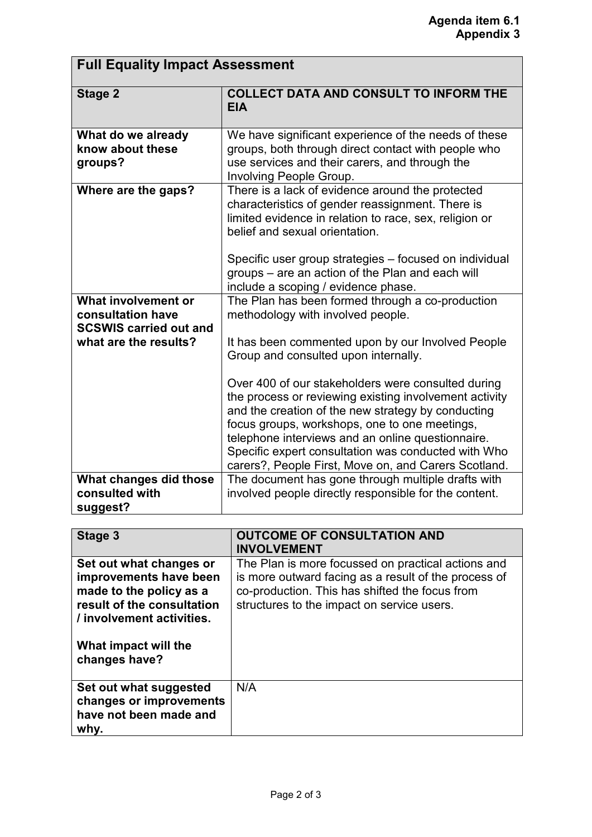## **Full Equality Impact Assessment**

| <b>Stage 2</b>                                                                                     | <b>COLLECT DATA AND CONSULT TO INFORM THE</b><br><b>EIA</b>                                                                                                                                                                                                                                                                                                                                                                                                                                                                                                                   |
|----------------------------------------------------------------------------------------------------|-------------------------------------------------------------------------------------------------------------------------------------------------------------------------------------------------------------------------------------------------------------------------------------------------------------------------------------------------------------------------------------------------------------------------------------------------------------------------------------------------------------------------------------------------------------------------------|
| What do we already<br>know about these<br>groups?                                                  | We have significant experience of the needs of these<br>groups, both through direct contact with people who<br>use services and their carers, and through the<br>Involving People Group.                                                                                                                                                                                                                                                                                                                                                                                      |
| Where are the gaps?                                                                                | There is a lack of evidence around the protected<br>characteristics of gender reassignment. There is<br>limited evidence in relation to race, sex, religion or<br>belief and sexual orientation.<br>Specific user group strategies – focused on individual<br>groups – are an action of the Plan and each will<br>include a scoping / evidence phase.                                                                                                                                                                                                                         |
| What involvement or<br>consultation have<br><b>SCSWIS carried out and</b><br>what are the results? | The Plan has been formed through a co-production<br>methodology with involved people.<br>It has been commented upon by our Involved People<br>Group and consulted upon internally.<br>Over 400 of our stakeholders were consulted during<br>the process or reviewing existing involvement activity<br>and the creation of the new strategy by conducting<br>focus groups, workshops, one to one meetings,<br>telephone interviews and an online questionnaire.<br>Specific expert consultation was conducted with Who<br>carers?, People First, Move on, and Carers Scotland. |
| What changes did those<br>consulted with<br>suggest?                                               | The document has gone through multiple drafts with<br>involved people directly responsible for the content.                                                                                                                                                                                                                                                                                                                                                                                                                                                                   |

| Stage 3                                                                                                                                 | <b>OUTCOME OF CONSULTATION AND</b><br><b>INVOLVEMENT</b>                                                                                                                                                   |
|-----------------------------------------------------------------------------------------------------------------------------------------|------------------------------------------------------------------------------------------------------------------------------------------------------------------------------------------------------------|
| Set out what changes or<br>improvements have been<br>made to the policy as a<br>result of the consultation<br>/ involvement activities. | The Plan is more focussed on practical actions and<br>is more outward facing as a result of the process of<br>co-production. This has shifted the focus from<br>structures to the impact on service users. |
| What impact will the<br>changes have?                                                                                                   |                                                                                                                                                                                                            |
| Set out what suggested<br>changes or improvements<br>have not been made and<br>why.                                                     | N/A                                                                                                                                                                                                        |